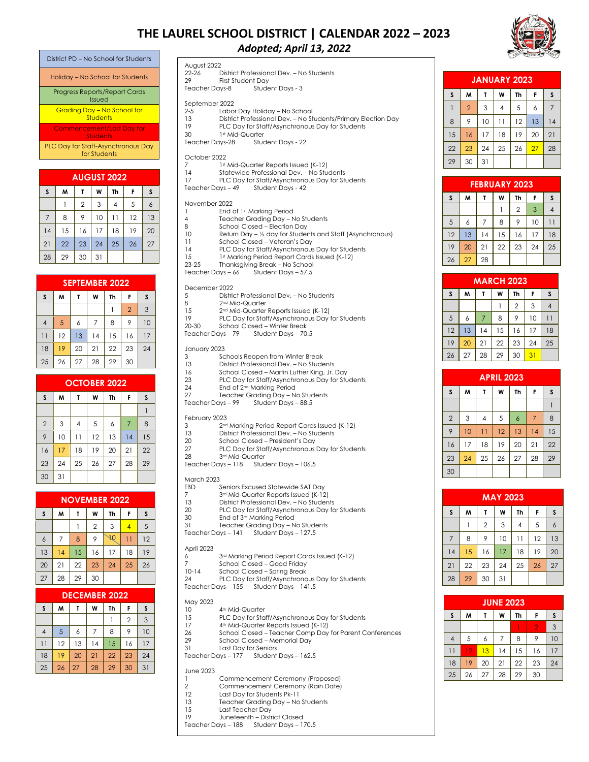# **THE LAUREL SCHOOL DISTRICT | CALENDAR 2022 – 2023**



| District PD – No School for Students               |
|----------------------------------------------------|
| Holiday - No School for Students                   |
| <b>Progress Reports/Report Cards</b><br>Issued     |
| Gradina Day - No School for<br>Students            |
| <b>Commencement/Last Day for</b><br>Students       |
| PLC Day for Staff-Asynchronous Day<br>for Students |
|                                                    |

|    | <b>AUGUST 2022</b> |                |    |    |    |    |  |  |  |  |
|----|--------------------|----------------|----|----|----|----|--|--|--|--|
| S  | M                  |                | W  | Th | F  | S  |  |  |  |  |
|    |                    | $\overline{2}$ | 3  | 4  | 5  | 6  |  |  |  |  |
| 7  | 8                  | 9              | 10 | 11 | 12 | 13 |  |  |  |  |
| 14 | 15                 | 16             | 17 | 18 | 19 | 20 |  |  |  |  |
| 21 | 22                 | 23             | 24 | 25 | 26 | 27 |  |  |  |  |
| 28 | 29                 | 30             | 31 |    |    |    |  |  |  |  |

| <b>SEPTEMBER 2022</b> |    |    |                |    |                |    |  |  |
|-----------------------|----|----|----------------|----|----------------|----|--|--|
| S                     | M  | Т  | W              | Th | F              | S  |  |  |
|                       |    |    |                |    | $\overline{2}$ | 3  |  |  |
| $\overline{4}$        | 5  | 6  | $\overline{7}$ | 8  | 9              | 10 |  |  |
| 11                    | 12 | 13 | 14             | 15 | 16             | 17 |  |  |
| 18                    | 19 | 20 | 21             | 22 | 23             | 24 |  |  |
| 25                    | 26 | 27 | 28             | 29 | 30             |    |  |  |

| <b>OCTOBER 2022</b> |    |                |    |    |                |    |  |  |
|---------------------|----|----------------|----|----|----------------|----|--|--|
| S                   | W  | т              | W  | Th | F              | S  |  |  |
|                     |    |                |    |    |                |    |  |  |
| $\overline{2}$      | 3  | $\overline{4}$ | 5  | 6  | $\overline{7}$ | 8  |  |  |
| 9                   | 10 | 11             | 12 | 13 | 14             | 15 |  |  |
| 16                  | 17 | 18             | 19 | 20 | 21             | 22 |  |  |
| 23                  | 24 | 25             | 26 | 27 | 28             | 29 |  |  |
| 30                  | 31 |                |    |    |                |    |  |  |

| <b>NOVEMBER 2022</b> |                |    |                |    |    |    |  |  |
|----------------------|----------------|----|----------------|----|----|----|--|--|
| $\mathsf{s}$         | W              | т  | W              | Th | F  | S  |  |  |
|                      |                |    | $\overline{2}$ | 3  | 4  | 5  |  |  |
| 6                    | $\overline{7}$ | 8  | 9              | ΨĹ | 11 | 12 |  |  |
| 13                   | 14             | 15 | 16             | 17 | 18 | 19 |  |  |
| 20                   | 21             | 22 | 23             | 24 | 25 | 26 |  |  |
| 27                   | 28             | 29 | 30             |    |    |    |  |  |

| <b>DECEMBER 2022</b>                   |    |    |    |    |                |    |  |  |
|----------------------------------------|----|----|----|----|----------------|----|--|--|
| S<br>M<br>Th<br>W<br>S<br>F            |    |    |    |    |                |    |  |  |
|                                        |    |    |    |    | $\overline{2}$ | 3  |  |  |
| $\overline{4}$                         | 5  | 6  |    | 8  | 9              | 10 |  |  |
| 11                                     | 12 | 13 | 14 | 15 | 16             | 17 |  |  |
| 24<br>18<br>19<br>22<br>20<br>21<br>23 |    |    |    |    |                |    |  |  |
| 25                                     | 26 | 27 | 28 | 29 | 30             | 31 |  |  |

*Adopted; April 13, 2022* August 2022<br>22-26 F District Professional Dev. – No Students 29 First Student Day<br>Teacher Days-8 Stude Student Days - 3 September 2022 2-5 Labor Day Holiday – No School<br>13 District Professional Dev. – No St 13 District Professional Dev. – No Students/Primary Election Day 19 PLC Day for Staff/Asynchronous Day for Students<br>30 1st Mid-Quarter 30 1st Mid-Quarter<br>Teacher Days-28 Stud Student Days - 22 October 2022 7 1st Mid-Quarter Reports Issued (K-12)<br>14 Statewide Professional Dev. – No Stu 14 Statewide Professional Dev. – No Students<br>17 PLC Dav for Staff/Asynchronous Day for Stu PLC Day for Staff/Asynchronous Day for Students Teacher Days – 49 Student Days - 42 November 2022 1 End of 1st Marking Period<br>4 Teacher Gradina Dav - N Teacher Grading Day - No Students 8 School Closed – Election Day<br>10 Return Day – 1/2 day for Studer 10 Return Day –  $\frac{1}{2}$  day for Students and Staff (Asynchronous)<br>11 School Closed – Veteran's Day School Closed – Veteran's Day 14 PLC Day for Staff/Asynchronous Day for Students 15 1st Marking Period Report Cards Issued (K-12)<br>23-25 Thanksaiving Break – No School Thanksgiving Break - No School Teacher Days – 66 Student Days – 57.5 December 2022 5 District Professional Dev. – No Students 8 2<sup>nd</sup> Mid-Quarter 15 2nd Mid-Quarter Reports Issued (K-12) 19 PLC Day for Staff/Asynchronous Day for Students<br>20-30 School Closed – Winter Break School Closed – Winter Break Teacher Days – 79 Student Days – 70.5 January 2023 3 Schools Reopen from Winter Break<br>13 District Professional Dev – No Stude District Professional Dev. - No Students 16 School Closed – Martin Luther King, Jr. Day 23 PLC Day for Staff/Asynchronous Day for Students 24 End of 2nd Marking Period 27 Teacher Grading Day – No Students<br>Teacher Days – 99 Student Days – 88.5 m.<br>Teacher Days – 99. February 2023 3 2nd Marking Period Report Cards Issued (K-12) 13 District Professional Dev. – No Students 20 School Closed – President's Day 27 PLC Day for Staff/Asynchronous Day for Students 28 3rd Mid-Quarter Teacher Days – 118 Student Days – 106.5 March 2023<br>
SIBD Seniors Excused Statewide SAT Day 7 3rd Mid-Quarter Reports Issued (K-12) 13 District Professional Dev. – No Students<br>20 PLC Dav for Staff/Asynchronous Day fo 20 PLC Day for Staff/Asynchronous Day for Students<br>30 End of 3<sup>rd</sup> Marking Period 30 End of 3<sup>rd</sup> Marking Period<br>31 Teacher Grading Day - N Teacher Grading Day - No Students Teacher Days – 141 Student Days – 127.5 April 2023 6 3rd Marking Period Report Cards Issued (K-12) 7 School Closed – Good Friday<br>10-14 School Closed – Spring Break School Closed – Spring Break 24 PLC Day for Staff/Asynchronous Day for Students

**JANUARY 2023 S M T W Th F S** 1 2 3 4 5 6 7 8 9 10 11 12 13 14 15 16 17 18 19 20 21 22 <mark>23</mark> 24 25 26 <mark>27</mark> 28 29 30 31

| <b>FEBRUARY 2023</b> |    |    |    |                |    |    |  |  |  |
|----------------------|----|----|----|----------------|----|----|--|--|--|
| S                    | M  | т  | W  | Th             | F  | S  |  |  |  |
|                      |    |    |    | $\overline{2}$ | 3  |    |  |  |  |
| 5                    | 6  | 7  | 8  | 9              | 10 |    |  |  |  |
| 12                   | 13 | 14 | 15 | 16             | 17 | 18 |  |  |  |
| 19                   | 20 | 21 | 22 | 23             | 24 | 25 |  |  |  |
| 26                   | 27 | 28 |    |                |    |    |  |  |  |

| <b>MARCH 2023</b> |    |                |    |                |    |    |  |  |
|-------------------|----|----------------|----|----------------|----|----|--|--|
| $\mathsf S$       | M  | т              | W  | Th             | F  | S  |  |  |
|                   |    |                |    | $\overline{2}$ | 3  |    |  |  |
| 5                 | 6  | $\overline{7}$ | 8  | 9              | 10 |    |  |  |
| 12                | 13 | 14             | 15 | 16             | 17 | 18 |  |  |
| 19                | 20 | 21             | 22 | 23             | 24 | 25 |  |  |
| 26                | 27 | 28             | 29 | 30             | 31 |    |  |  |

| <b>APRIL 2023</b> |    |                 |    |                  |                |    |  |  |
|-------------------|----|-----------------|----|------------------|----------------|----|--|--|
| $\mathsf{s}$      | W  | T               | W  | Th               | F              | S  |  |  |
|                   |    |                 |    |                  |                |    |  |  |
| $\overline{2}$    | 3  | $\overline{4}$  | 5  | $\boldsymbol{6}$ | $\overline{7}$ | 8  |  |  |
| 9                 | 10 | $\overline{11}$ | 12 | 13               | 14             | 15 |  |  |
| 16                | 17 | 18              | 19 | 20               | 21             | 22 |  |  |
| 23                | 24 | 25              | 26 | 27               | 28             | 29 |  |  |
| 30                |    |                 |    |                  |                |    |  |  |

|                                  | <b>MAY 2023</b> |            |    |                |    |    |  |  |  |  |
|----------------------------------|-----------------|------------|----|----------------|----|----|--|--|--|--|
| S<br>M<br>W<br>S<br>Th<br>F<br>Т |                 |            |    |                |    |    |  |  |  |  |
|                                  |                 | $\sqrt{2}$ | 3  | $\overline{4}$ | 5  | 6  |  |  |  |  |
| $\overline{7}$                   | 8               | 9          | 10 | 11             | 12 | 13 |  |  |  |  |
| 14                               | 15              | 16         | 17 | 18             | 19 | 20 |  |  |  |  |
| 21                               | 22              | 23         | 24 | 25             | 26 | 27 |  |  |  |  |
| 28                               | 29              | 30         | 31 |                |    |    |  |  |  |  |

|                 | <b>JUNE 2023</b> |    |    |    |                |    |  |  |
|-----------------|------------------|----|----|----|----------------|----|--|--|
| S               | M                |    | W  | Th | F              | S  |  |  |
|                 |                  |    |    |    | $\overline{2}$ | 3  |  |  |
| $\overline{4}$  | 5                | 6  | 7  | 8  | 9              | 10 |  |  |
| $\overline{11}$ | 12               | 13 | 14 | 15 | 16             | 17 |  |  |
| 18              | 19               | 20 | 21 | 22 | 23             | 24 |  |  |
| 25              | 26               | 27 | 28 | 29 | 30             |    |  |  |

Teacher Days – 155 Student Days – 141.5

# May 2023<br>10

- 4<sup>th</sup> Mid-Quarter 15 PLC Day for Staff/Asynchronous Day for Students
	-
- 17 4<sup>th</sup> Mid-Quarter Reports Issued (K-12)<br>26 School Closed Teacher Comp Day 26 School Closed – Teacher Comp Day for Parent Conferences<br>29 School Closed – Memorial Day
- 29 School Closed Memorial Day<br>31 Last Day for Seniors
- Last Day for Seniors Teacher Days – 177 Student Days – 162.5

## June 2023

- 1 Commencement Ceremony (Proposed)
- 2 Commencement Ceremony (Rain Date)<br>12 Last Day for Students Pk-11 Last Day for Students Pk-11
- 13 Teacher Grading Day No Students
- 
- 15 Last Teacher Day
- 19 Juneteenth District Closed
- Teacher Days 188 Student Days 170.5